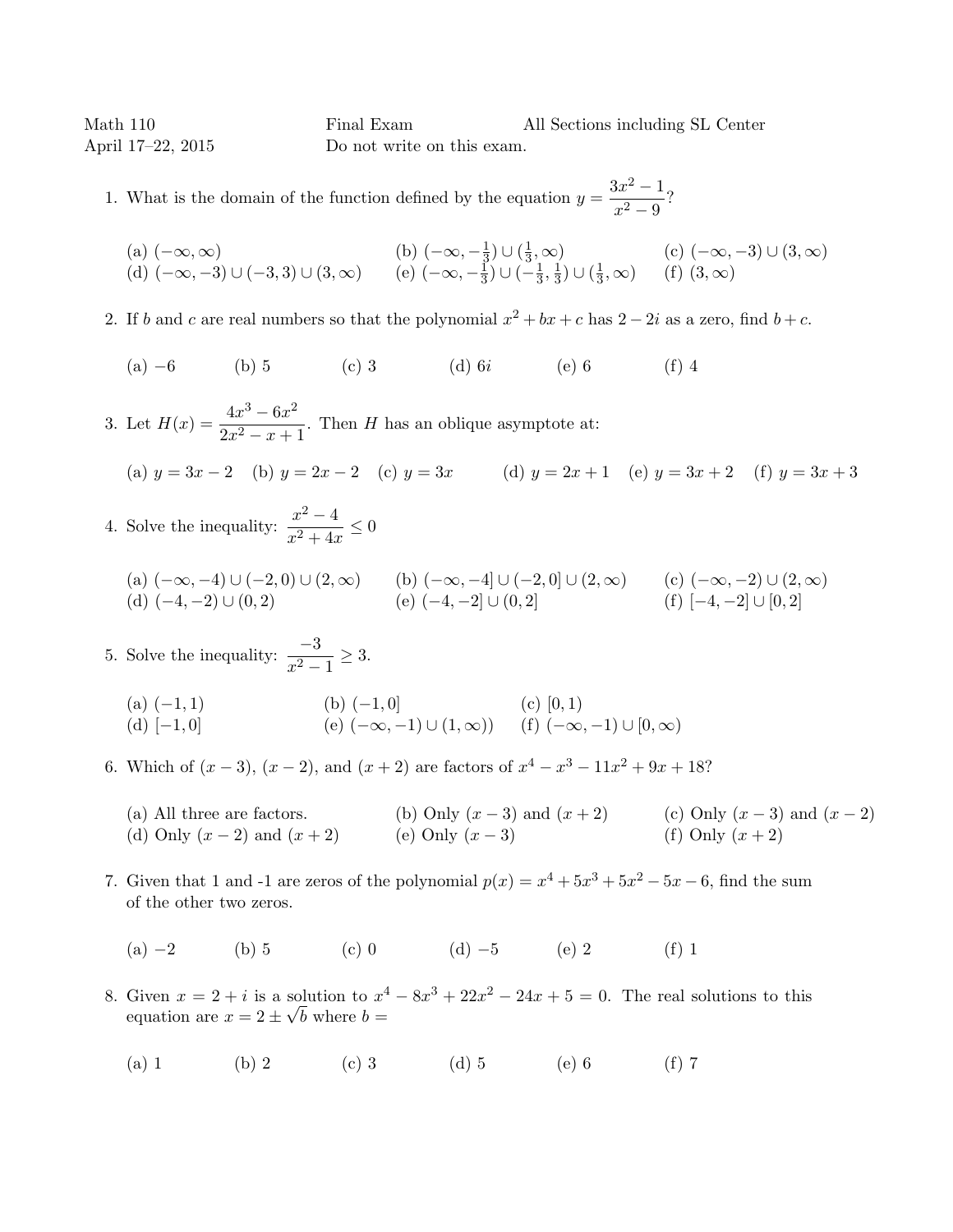Math 110 **Final Exam** All Sections including SL Center April 17–22, 2015 Do not write on this exam.

1. What is the domain of the function defined by the equation  $y = \frac{3x^2 - 1}{x^2 - 3}$  $\frac{x^2-9}{x^2-9}$ ?

(a) 
$$
(-\infty, \infty)
$$
  
\n(b)  $(-\infty, -\frac{1}{3}) \cup (\frac{1}{3}, \infty)$   
\n(c)  $(-\infty, -3) \cup (3, \infty)$   
\n(d)  $(-\infty, -3) \cup (-3, 3) \cup (3, \infty)$   
\n(e)  $(-\infty, -\frac{1}{3}) \cup (-\frac{1}{3}, \frac{1}{3}) \cup (\frac{1}{3}, \infty)$   
\n(f)  $(3, \infty)$ 

- 2. If b and c are real numbers so that the polynomial  $x^2 + bx + c$  has  $2 2i$  as a zero, find  $b + c$ .
	- (a) −6 (b) 5 (c) 3 (d) 6i (e) 6 (f) 4
- 3. Let  $H(x) = \frac{4x^3 6x^2}{2x^3 6x^2}$  $\frac{2x}{2x^2 - x + 1}$ . Then *H* has an oblique asymptote at: (a)  $y = 3x - 2$  (b)  $y = 2x - 2$  (c)  $y = 3x$  (d)  $y = 2x + 1$  (e)  $y = 3x + 2$  (f)  $y = 3x + 3$
- 4. Solve the inequality:  $\frac{x^2-4}{x^2-4}$  $\frac{x}{x^2+4x} \leq 0$

(a) 
$$
(-\infty, -4) \cup (-2, 0) \cup (2, \infty)
$$
  
\n(b)  $(-\infty, -4] \cup (-2, 0] \cup (2, \infty)$   
\n(c)  $(-\infty, -2) \cup (2, \infty)$   
\n(d)  $(-4, -2) \cup (0, 2)$   
\n(e)  $(-4, -2] \cup (0, 2)$   
\n(f)  $[-4, -2] \cup [0, 2]$ 

- 5. Solve the inequality:  $\frac{-3}{x^2 1} \ge 3$ .
	- (a)  $(-1, 1)$  (b)  $(-1, 0)$  (c)  $[0, 1)$ (d)  $[-1, 0]$  (e)  $(-\infty, -1) \cup (1, \infty)$  (f)  $(-\infty, -1) \cup [0, \infty)$
- 6. Which of  $(x-3)$ ,  $(x-2)$ , and  $(x+2)$  are factors of  $x^4 x^3 11x^2 + 9x + 18$ ?
	- (a) All three are factors. (b) Only  $(x-3)$  and  $(x+2)$  (c) Only  $(x-3)$  and  $(x-2)$ (d) Only  $(x - 2)$  and  $(x + 2)$  (e) Only  $(x - 3)$  (f) Only  $(x + 2)$
- 7. Given that 1 and -1 are zeros of the polynomial  $p(x) = x^4 + 5x^3 + 5x^2 5x 6$ , find the sum of the other two zeros.
	- (a) −2 (b) 5 (c) 0 (d) −5 (e) 2 (f) 1
- 8. Given  $x = 2 + i$  is a solution to  $x^4 8x^3 + 22x^2 24x + 5 = 0$ . The real solutions to this equation are  $x = 2 \pm \sqrt{b}$  where  $b =$ 
	- (a) 1 (b) 2 (c) 3 (d) 5 (e) 6 (f) 7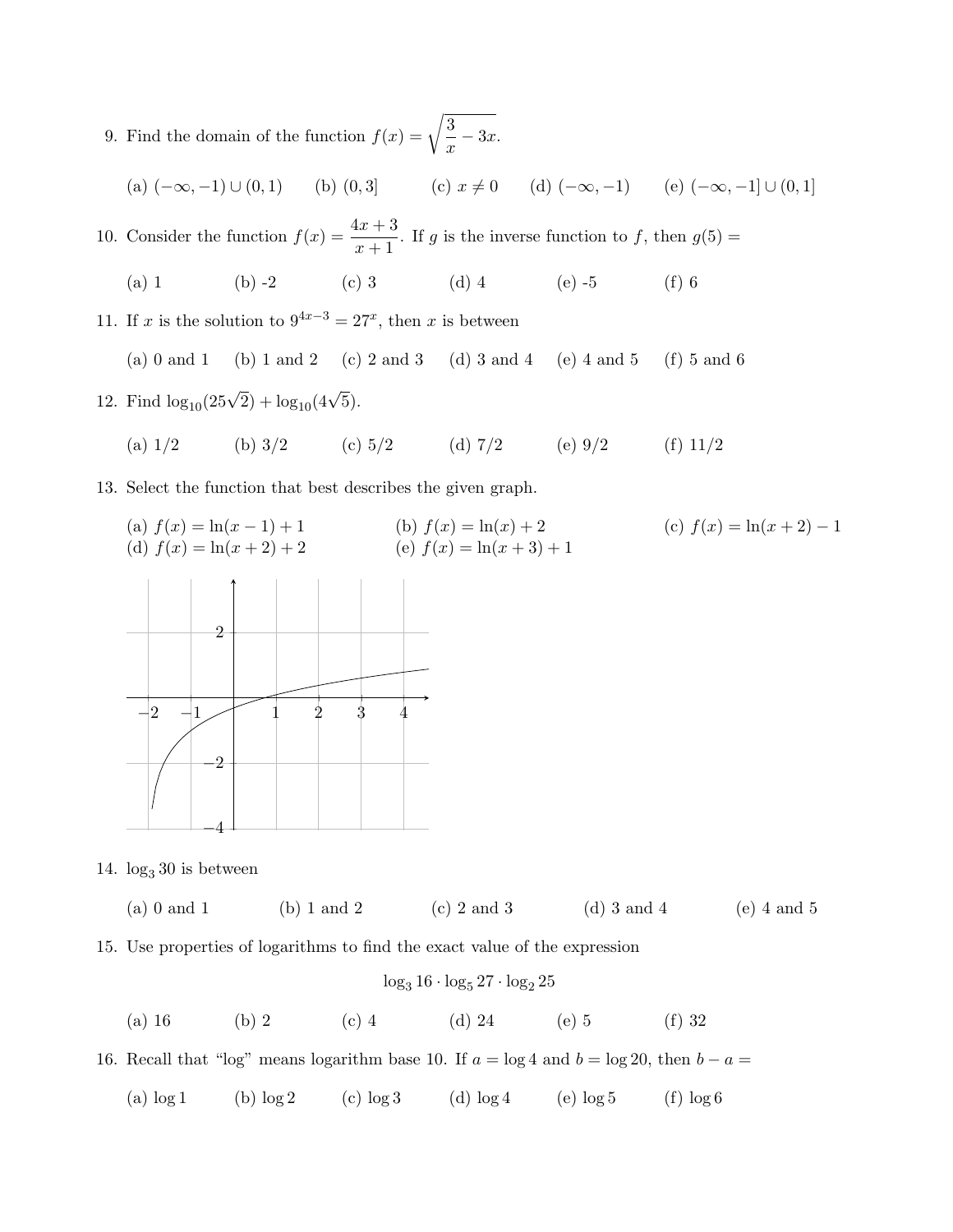9. Find the domain of the function  $f(x) = \sqrt{\frac{3}{2}}$  $\frac{6}{x}$  – 3x.

(a) 
$$
(-\infty, -1) \cup (0, 1)
$$
 (b)  $(0, 3)$  (c)  $x \neq 0$  (d)  $(-\infty, -1)$  (e)  $(-\infty, -1] \cup (0, 1]$ 

10. Consider the function  $f(x) = \frac{4x+3}{x+1}$ . If g is the inverse function to f, then  $g(5) =$ 

- (a) 1 (b) -2 (c) 3 (d) 4 (e) -5 (f) 6
- 11. If x is the solution to  $9^{4x-3} = 27^x$ , then x is between

(a) 0 and 1 (b) 1 and 2 (c) 2 and 3 (d) 3 and 4 (e) 4 and 5 (f) 5 and 6

- 12. Find  $\log_{10}(25\sqrt{2}) + \log_{10}(4\sqrt{5})$ .
	- (a)  $1/2$  (b)  $3/2$  (c)  $5/2$  (d)  $7/2$  (e)  $9/2$  (f)  $11/2$

13. Select the function that best describes the given graph.

(a) 
$$
f(x) = \ln(x - 1) + 1
$$
  
\n(b)  $f(x) = \ln(x) + 2$   
\n(c)  $f(x) = \ln(x + 2) - 1$   
\n(d)  $f(x) = \ln(x + 2) + 2$   
\n(e)  $f(x) = \ln(x + 3) + 1$ 



14.  $\log_3 30$  is between

(a) 0 and 1 (b) 1 and 2 (c) 2 and 3 (d) 3 and 4 (e) 4 and 5

15. Use properties of logarithms to find the exact value of the expression

$$
\log_3 16 \cdot \log_5 27 \cdot \log_2 25
$$

(a) 16 (b) 2 (c) 4 (d) 24 (e) 5 (f) 32

16. Recall that "log" means logarithm base 10. If  $a = \log 4$  and  $b = \log 20$ , then  $b - a =$ 

(a)  $\log 1$  (b)  $\log 2$  (c)  $\log 3$  (d)  $\log 4$  (e)  $\log 5$  (f)  $\log 6$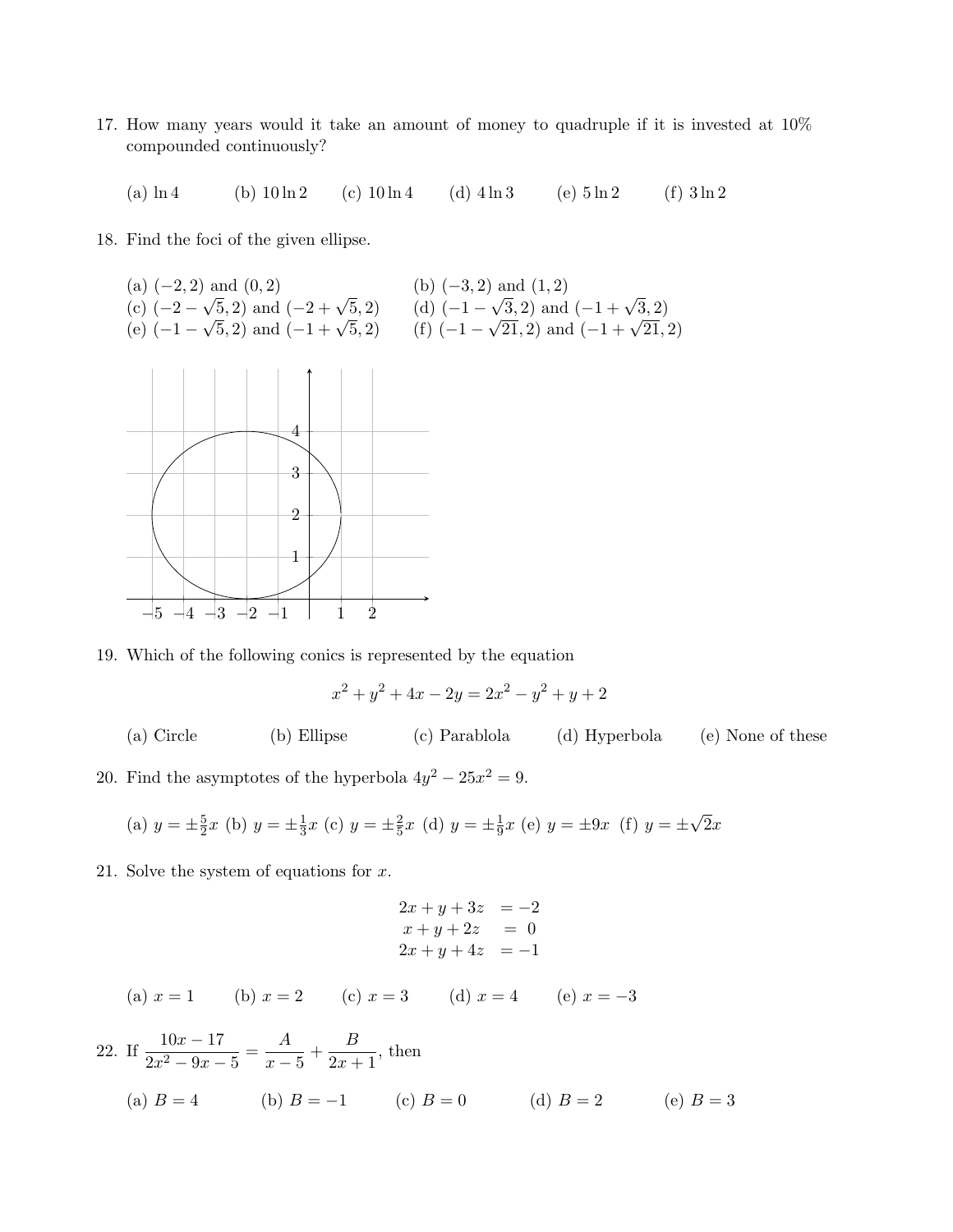17. How many years would it take an amount of money to quadruple if it is invested at 10% compounded continuously?

(a)  $\ln 4$  (b)  $10 \ln 2$  (c)  $10 \ln 4$  (d)  $4 \ln 3$  (e)  $5 \ln 2$  (f)  $3 \ln 2$ 

- 18. Find the foci of the given ellipse.
	- (a)  $(-2, 2)$  and  $(0, 2)$  (b)  $(-3, 2)$  and  $(1, 2)$  $(c)$  (-2 –  $\sqrt{5}$ , 2) and  $(-2 + \sqrt{5})$  $(5, 2)$   $(\mathrm{d})$   $(-1, -1)$  $\sqrt{3}$ , 2) and  $(-1 + \sqrt{3}, 2)$  $(e)$  (-1 –  $\sqrt{5}$ , 2) and  $(-2 + \sqrt{5})$  $(5, 2)$  (f)  $(-1 \sqrt{21}$ , 2) and  $(-1 + \sqrt{21}$ , 2)



19. Which of the following conics is represented by the equation

$$
x^2 + y^2 + 4x - 2y = 2x^2 - y^2 + y + 2
$$

(a) Circle (b) Ellipse (c) Parablola (d) Hyperbola (e) None of these

20. Find the asymptotes of the hyperbola  $4y^2 - 25x^2 = 9$ .

(a) 
$$
y = \pm \frac{5}{2}x
$$
 (b)  $y = \pm \frac{1}{3}x$  (c)  $y = \pm \frac{2}{5}x$  (d)  $y = \pm \frac{1}{9}x$  (e)  $y = \pm 9x$  (f)  $y = \pm \sqrt{2}x$ 

21. Solve the system of equations for  $x$ .

$$
2x + y + 3z = -2 \n x + y + 2z = 0 \n 2x + y + 4z = -1
$$

(a) 
$$
x = 1
$$
 (b)  $x = 2$  (c)  $x = 3$  (d)  $x = 4$  (e)  $x = -3$ 

22. If 
$$
\frac{10x - 17}{2x^2 - 9x - 5} = \frac{A}{x - 5} + \frac{B}{2x + 1}
$$
, then  
\n(a)  $B = 4$  (b)  $B = -1$  (c)  $B = 0$  (d)  $B = 2$  (e)  $B = 3$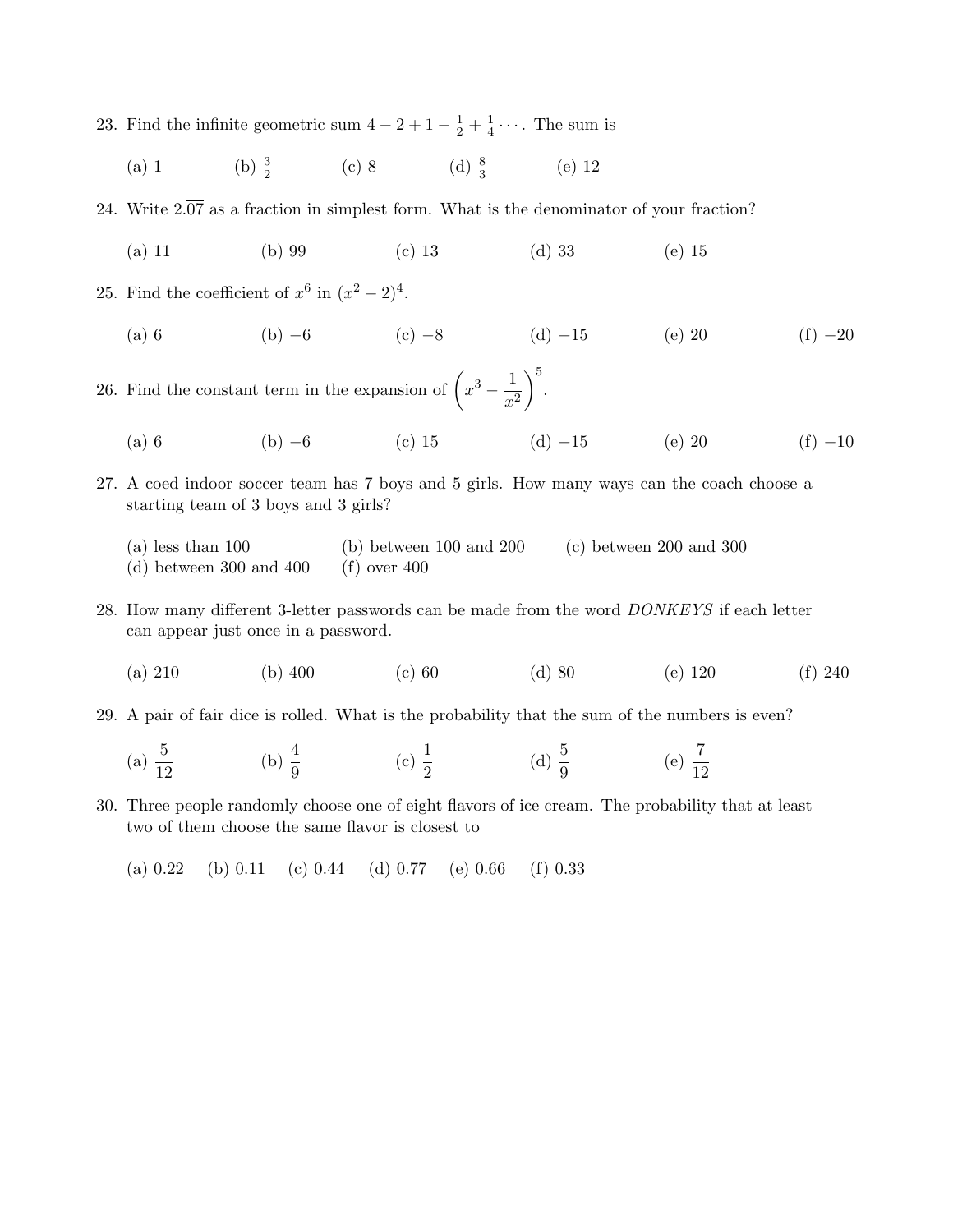- 23. Find the infinite geometric sum  $4-2+1-\frac{1}{2}+\frac{1}{4}$  $\frac{1}{4} \cdots$ . The sum is
	- (a) 1 (b)  $\frac{3}{2}$  (c) 8 (d)  $\frac{8}{3}$  (e) 12

24. Write  $2.\overline{07}$  as a fraction in simplest form. What is the denominator of your fraction?

(a) 11 (b) 99 (c) 13 (d) 33 (e) 15

25. Find the coefficient of  $x^6$  in  $(x^2-2)^4$ .

(a) 6 (b)  $-6$  (c)  $-8$  (d)  $-15$  (e) 20 (f)  $-20$ 

26. Find the constant term in the expansion of  $\left(x^3 - \frac{1}{x^2}\right)$  $x^2$  $\bigg)$ <sup>5</sup>.

- (a) 6 (b)  $-6$  (c) 15 (d)  $-15$  (e) 20 (f)  $-10$
- 27. A coed indoor soccer team has 7 boys and 5 girls. How many ways can the coach choose a starting team of 3 boys and 3 girls?
	- (a) less than 100 (b) between 100 and 200 (c) between 200 and 300 (d) between 300 and 400 (f) over  $400$
- 28. How many different 3-letter passwords can be made from the word DONKEYS if each letter can appear just once in a password.
	- (a) 210 (b) 400 (c) 60 (d) 80 (e) 120 (f) 240
- 29. A pair of fair dice is rolled. What is the probability that the sum of the numbers is even?
	- (a)  $\frac{5}{12}$ (b)  $\frac{4}{9}$  (c)  $\frac{1}{2}$  (d)  $\frac{5}{9}$  (e)  $\frac{7}{12}$
- 30. Three people randomly choose one of eight flavors of ice cream. The probability that at least two of them choose the same flavor is closest to

(a) 0.22 (b) 0.11 (c) 0.44 (d) 0.77 (e) 0.66 (f) 0.33